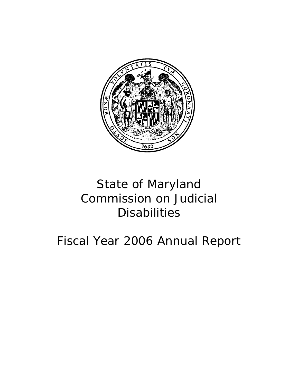

# *State of Maryland Commission on Judicial Disabilities*

# *Fiscal Year 2006 Annual Report*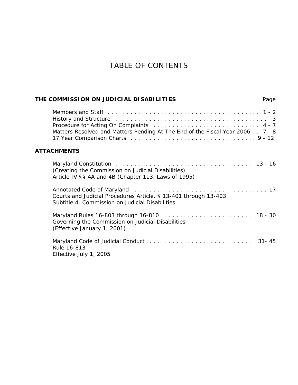# *TABLE OF CONTENTS*

## **THE COMMISSION ON JUDICIAL DISABILITIES** Page

| Procedure for Acting On Complaints  4 - 7                                     |  |
|-------------------------------------------------------------------------------|--|
| Matters Resolved and Matters Pending At The End of the Fiscal Year 2006 7 - 8 |  |
|                                                                               |  |

#### **ATTACHMENTS**

| (Creating the Commission on Judicial Disabilities)<br>Article IV §§ 4A and 4B (Chapter 113, Laws of 1995)          |  |
|--------------------------------------------------------------------------------------------------------------------|--|
| Courts and Judicial Procedures Article, § 13-401 through 13-403<br>Subtitle 4. Commission on Judicial Disabilities |  |
| Governing the Commission on Judicial Disabilities<br>(Effective January 1, 2001)                                   |  |
| Maryland Code of Judicial Conduct (Alexandreign: Alexandreign: 21-45)<br>Rule 16-813<br>Effective July 1, 2005     |  |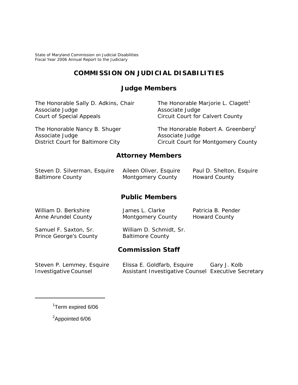# **COMMISSION ON JUDICIAL DISABILITIES**

# **Judge Members**

| Associate Judge                   | Associate Judge                                |  |  |  |  |  |  |
|-----------------------------------|------------------------------------------------|--|--|--|--|--|--|
| <b>Court of Special Appeals</b>   | Circuit Court for Calvert County               |  |  |  |  |  |  |
| The Honorable Nancy B. Shuger     | The Honorable Robert A. Greenberg <sup>2</sup> |  |  |  |  |  |  |
| Associate Judge                   | Associate Judge                                |  |  |  |  |  |  |
| District Court for Baltimore City | <b>Circuit Court for Montgomery County</b>     |  |  |  |  |  |  |
| <b>Attorney Members</b>           |                                                |  |  |  |  |  |  |

| Steven D. Silverman, Esquire | Aileen Oliver, Esquire | Paul D. Shelton, Esquire |
|------------------------------|------------------------|--------------------------|
| <b>Baltimore County</b>      | Montgomery County      | <b>Howard County</b>     |

# **Public Members**

| William D. Berkshire<br>Anne Arundel County     | James L. Clarke<br>Montgomery County               | Patricia B. Pender<br><b>Howard County</b> |
|-------------------------------------------------|----------------------------------------------------|--------------------------------------------|
| Samuel F. Saxton, Sr.<br>Prince George's County | William D. Schmidt, Sr.<br><b>Baltimore County</b> |                                            |
|                                                 | Commission Staff                                   |                                            |

### **Commission Staff**

| Steven P. Lemmey, Esquire | Elissa E. Goldfarb, Esquire                         | Gary J. Kolb |
|---------------------------|-----------------------------------------------------|--------------|
| Investigative Counsel     | Assistant Investigative Counsel Executive Secretary |              |

<sup>1</sup>Term expired 6/06

<sup>2</sup>Appointed 6/06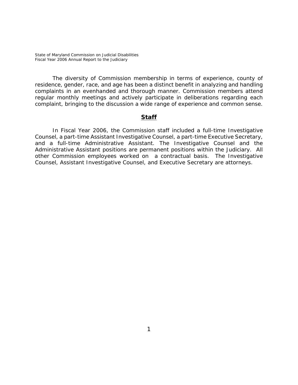The diversity of Commission membership in terms of experience, county of residence, gender, race, and age has been a distinct benefit in analyzing and handling complaints in an evenhanded and thorough manner. Commission members attend regular monthly meetings and actively participate in deliberations regarding each complaint, bringing to the discussion a wide range of experience and common sense.

#### *Staff*

In Fiscal Year 2006, the Commission staff included a full-time Investigative Counsel, a part-time Assistant Investigative Counsel, a part-time Executive Secretary, and a full-time Administrative Assistant. The Investigative Counsel and the Administrative Assistant positions are permanent positions within the Judiciary. All other Commission employees worked on a contractual basis. The Investigative Counsel, Assistant Investigative Counsel, and Executive Secretary are attorneys.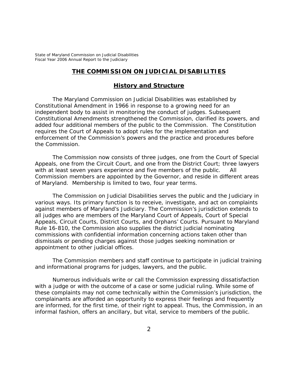#### *THE COMMISSION ON JUDICIAL DISABILITIES*

### *History and Structure*

The Maryland Commission on Judicial Disabilities was established by Constitutional Amendment in 1966 in response to a growing need for an independent body to assist in monitoring the conduct of judges. Subsequent Constitutional Amendments strengthened the Commission, clarified its powers, and added four additional members of the public to the Commission. The Constitution requires the Court of Appeals to adopt rules for the implementation and enforcement of the Commission's powers and the practice and procedures before the Commission.

The Commission now consists of three judges, one from the Court of Special Appeals, one from the Circuit Court, and one from the District Court; three lawyers with at least seven years experience and five members of the public. All Commission members are appointed by the Governor, and reside in different areas of Maryland. Membership is limited to two, four year terms.

The Commission on Judicial Disabilities serves the public and the Judiciary in various ways. Its primary function is to receive, investigate, and act on complaints against members of Maryland's Judiciary. The Commission's jurisdiction extends to all judges who are members of the Maryland Court of Appeals, Court of Special Appeals, Circuit Courts, District Courts, and Orphans' Courts. Pursuant to Maryland Rule 16-810, the Commission also supplies the district judicial nominating commissions with confidential information concerning actions taken other than dismissals or pending charges against those judges seeking nomination or appointment to other judicial offices.

The Commission members and staff continue to participate in judicial training and informational programs for judges, lawyers, and the public.

Numerous individuals write or call the Commission expressing dissatisfaction with a judge or with the outcome of a case or some judicial ruling. While some of these complaints may not come technically within the Commission's jurisdiction, the complainants are afforded an opportunity to express their feelings and frequently are informed, for the first time, of their right to appeal. Thus, the Commission, in an informal fashion, offers an ancillary, but vital, service to members of the public.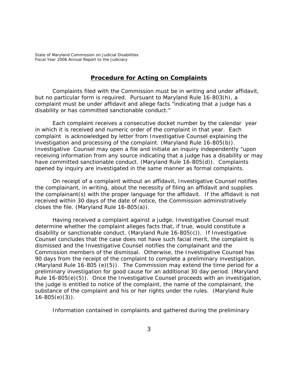#### *Procedure for Acting on Complaints*

Complaints filed with the Commission must be in writing and under affidavit, but no particular form is required. Pursuant to Maryland Rule 16-803(h), a complaint must be under affidavit and allege facts "indicating that a judge has a disability or has committed sanctionable conduct."

Each complaint receives a consecutive docket number by the calendar year in which it is received and numeric order of the complaint in that year. Each complaint is acknowledged by letter from Investigative Counsel explaining the investigation and processing of the complaint. (Maryland Rule 16-805(b)). Investigative Counsel may open a file and initiate an inquiry independently "upon receiving information from any source indicating that a judge has a disability or may have committed sanctionable conduct. (Maryland Rule 16-805(d)). Complaints opened by inquiry are investigated in the same manner as formal complaints.

On receipt of a complaint without an affidavit, Investigative Counsel notifies the complainant, in writing, about the necessity of filing an affidavit and supplies the complainant(s) with the proper language for the affidavit. If the affidavit is not received within 30 days of the date of notice, the Commission administratively closes the file. (Maryland Rule 16-805(a)).

Having received a complaint against a judge, Investigative Counsel must determine whether the complaint alleges facts that, if true, would constitute a disability or sanctionable conduct. (Maryland Rule 16-805(c)). If Investigative Counsel concludes that the case does not have such facial merit, the complaint is dismissed and the Investigative Counsel notifies the complainant and the Commission members of the dismissal. Otherwise, the Investigative Counsel has 90 days from the receipt of the complaint to complete a preliminary investigation. (Maryland Rule 16-805 (e)(5)). The Commission may extend the time period for a preliminary investigation for good cause for an additional 30 day period. (Maryland Rule 16-805(e)(5)). Once the Investigative Counsel proceeds with an investigation, the judge is entitled to notice of the complaint, the name of the complainant, the substance of the complaint and his or her rights under the rules. (Maryland Rule  $16 - 805(e)(3)$ .

Information contained in complaints and gathered during the preliminary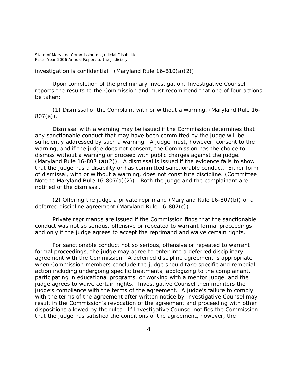investigation is confidential. (Maryland Rule 16-810(a)(2)).

Upon completion of the preliminary investigation, Investigative Counsel reports the results to the Commission and must recommend that one of four actions be taken:

(1) Dismissal of the Complaint with or without a warning. (Maryland Rule 16- 807(a)).

Dismissal with a warning may be issued if the Commission determines that any sanctionable conduct that may have been committed by the judge will be sufficiently addressed by such a warning. A judge must, however, consent to the warning, and if the judge does not consent, the Commission has the choice to dismiss without a warning or proceed with public charges against the judge. (Maryland Rule 16-807 (a)(2)). A dismissal is issued if the evidence fails to show that the judge has a disability or has committed sanctionable conduct. Either form of dismissal, with or without a warning, does not constitute discipline. (Committee Note to Maryland Rule 16-807(a)(2)). Both the judge and the complainant are notified of the dismissal.

(2) Offering the judge a private reprimand (Maryland Rule 16-807(b)) or a deferred discipline agreement (Maryland Rule 16-807(c)).

Private reprimands are issued if the Commission finds that the sanctionable conduct was not so serious, offensive or repeated to warrant formal proceedings and only if the judge agrees to accept the reprimand and waive certain rights.

For sanctionable conduct not so serious, offensive or repeated to warrant formal proceedings, the judge may agree to enter into a deferred disciplinary agreement with the Commission. A deferred discipline agreement is appropriate when Commission members conclude the judge should take specific and remedial action including undergoing specific treatments, apologizing to the complainant, participating in educational programs, or working with a mentor judge, and the judge agrees to waive certain rights. Investigative Counsel then monitors the judge's compliance with the terms of the agreement. A judge's failure to comply with the terms of the agreement after written notice by Investigative Counsel may result in the Commission's revocation of the agreement and proceeding with other dispositions allowed by the rules. If Investigative Counsel notifies the Commission that the judge has satisfied the conditions of the agreement, however, the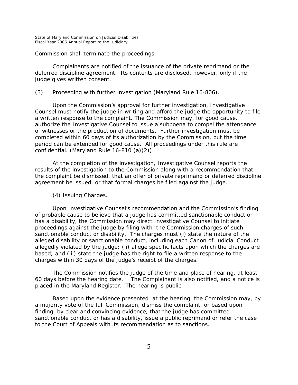Commission shall terminate the proceedings.

Complainants are notified of the issuance of the private reprimand or the deferred discipline agreement. Its contents are disclosed, however, only if the judge gives written consent.

(3) Proceeding with further investigation (Maryland Rule 16-806).

Upon the Commission's approval for further investigation, Investigative Counsel must notify the judge in writing and afford the judge the opportunity to file a written response to the complaint. The Commission may, for good cause, authorize the Investigative Counsel to issue a subpoena to compel the attendance of witnesses or the production of documents. Further investigation must be completed within 60 days of its authorization by the Commission, but the time period can be extended for good cause. All proceedings under this rule are confidential. (Maryland Rule 16-810 (a)(2)).

At the completion of the investigation, Investigative Counsel reports the results of the investigation to the Commission along with a recommendation that the complaint be dismissed, that an offer of private reprimand or deferred discipline agreement be issued, or that formal charges be filed against the judge.

(4) Issuing Charges.

Upon Investigative Counsel's recommendation and the Commission's finding of probable cause to believe that a judge has committed sanctionable conduct or has a disability, the Commission may direct Investigative Counsel to initiate proceedings against the judge by filing with the Commission charges of such sanctionable conduct or disability. The charges must (i) state the nature of the alleged disability or sanctionable conduct, including each Canon of Judicial Conduct allegedly violated by the judge; (ii) allege specific facts upon which the charges are based; and (iii) state the judge has the right to file a written response to the charges within 30 days of the judge's receipt of the charges.

The Commission notifies the judge of the time and place of hearing, at least 60 days before the hearing date. The Complainant is also notified, and a notice is placed in the *Maryland Register.* The hearing is public.

Based upon the evidence presented at the hearing, the Commission may, by a majority vote of the full Commission, dismiss the complaint, or based upon finding, by clear and convincing evidence, that the judge has committed sanctionable conduct or has a disability, issue a public reprimand or refer the case to the Court of Appeals with its recommendation as to sanctions.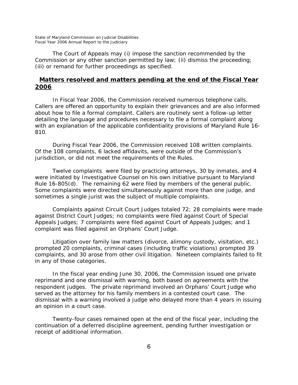The Court of Appeals may (i) impose the sanction recommended by the Commission or any other sanction permitted by law; (ii) dismiss the proceeding; (iii) or remand for further proceedings as specified.

#### *Matters resolved and matters pending at the end of the Fiscal Year 2006*

In Fiscal Year 2006, the Commission received numerous telephone calls. Callers are offered an opportunity to explain their grievances and are also informed about how to file a formal complaint. Callers are routinely sent a follow-up letter detailing the language and procedures necessary to file a formal complaint along with an explanation of the applicable confidentiality provisions of Maryland Rule 16- 810.

During Fiscal Year 2006, the Commission received 108 written complaints. Of the 108 complaints, 6 lacked affidavits, were outside of the Commission's jurisdiction, or did not meet the requirements of the Rules.

Twelve complaints were filed by practicing attorneys, 30 by inmates, and 4 were initiated by Investigative Counsel on his own initiative pursuant to Maryland Rule 16-805(d). The remaining 62 were filed by members of the general public. Some complaints were directed simultaneously against more than one judge, and sometimes a single jurist was the subject of multiple complaints.

Complaints against Circuit Court Judges totaled 72; 28 complaints were made against District Court Judges; no complaints were filed against Court of Special Appeals Judges; 7 complaints were filed against Court of Appeals Judges; and 1 complaint was filed against an Orphans' Court Judge.

Litigation over family law matters (divorce, alimony custody, visitation, etc.) prompted 20 complaints, criminal cases (including traffic violations) prompted 39 complaints, and 30 arose from other civil litigation. Nineteen complaints failed to fit in any of those categories.

In the fiscal year ending June 30, 2006, the Commission issued one private reprimand and one dismissal with warning, both based on agreements with the respondent judges. The private reprimand involved an Orphans' Court Judge who served as the attorney for his family members in a contested court case. The dismissal with a warning involved a judge who delayed more than 4 years in issuing an opinion in a court case.

Twenty-four cases remained open at the end of the fiscal year, including the continuation of a deferred discipline agreement, pending further investigation or receipt of additional information.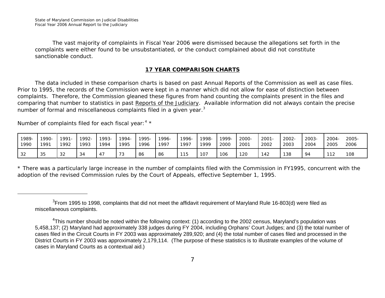The vast majority of complaints in Fiscal Year 2006 were dismissed because the allegations set forth in the complaints were either found to be unsubstantiated, or the conduct complained about did not constitute sanctionable conduct.

#### **17 YEAR COMPARISON CHARTS**

The data included in these comparison charts is based on past Annual Reports of the Commission as well as case files. Prior to 1995, the records of the Commission were kept in a manner which did not allow for ease of distinction between complaints. Therefore, the Commission gleaned these figures from hand counting the complaints present in the files and comparing that number to statistics in past Reports of the Judiciary. Available information did not always contain the precise number of formal and miscellaneous complaints filed in a given year.<sup>3</sup>

Number of complaints filed for each fiscal year:<sup>4</sup> \*

| 1989- | 1990- | 1991-    | $1992 -$ | 1993- | 1994- | $1995 -$ | $1996-$ | $1996-$ | 1998- | 1999- | 2000- | 2001- | 2002- | 2003- | 2004- | 2005- |
|-------|-------|----------|----------|-------|-------|----------|---------|---------|-------|-------|-------|-------|-------|-------|-------|-------|
| 1990  | 1991  | 1992     | 1993     | 1994  | 1995  | 1996     | 1997    | 1997    | 1999  | 2000  | 2001  | 2002  | 2003  | 2004  | 2005  | 2006  |
| 32    | 35    | າາ<br>ےت | 34       | 47    | 73    | -86      | -86     | 115     | 107   | 106   | 120   | 142   | 138   | 94    | 112   | 108   |

\* There was a particularly large increase in the number of complaints filed with the Commission in FY1995, concurrent with the adoption of the revised Commission rules by the Court of Appeals, effective September 1, 1995.

 $3$ From 1995 to 1998, complaints that did not meet the affidavit requirement of Maryland Rule 16-803(d) were filed as miscellaneous complaints.

 $4$ This number should be noted within the following context: (1) according to the 2002 census, Maryland's population was 5,458,137; (2) Maryland had approximately 338 judges during FY 2004, including Orphans' Court Judges; and (3) the total number of cases filed in the Circuit Courts in FY 2003 was approximately 289,920; and (4) the total number of cases filed and processed in the District Courts in FY 2003 was approximately 2,179,114. (The purpose of these statistics is to illustrate examples of the volume of cases in Maryland Courts as a contextual aid.)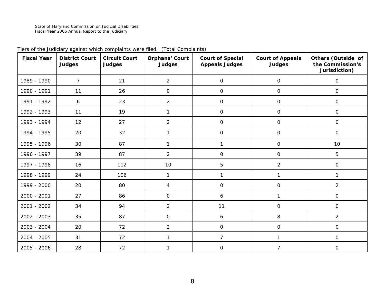| <b>Fiscal Year</b> | <b>District Court</b><br><b>Judges</b> | <b>Circuit Court</b><br><b>Judges</b> | <b>Orphans' Court</b><br><b>Judges</b> | <b>Court of Special</b><br><b>Appeals Judges</b> | <b>Court of Appeals</b><br><b>Judges</b> | Others (Outside of<br>the Commission's<br>Jurisdiction) |
|--------------------|----------------------------------------|---------------------------------------|----------------------------------------|--------------------------------------------------|------------------------------------------|---------------------------------------------------------|
| 1989 - 1990        | $\overline{7}$                         | 21                                    | $\overline{2}$                         | $\mathbf{O}$                                     | $\mathbf 0$                              | $\mathbf 0$                                             |
| 1990 - 1991        | 11                                     | 26                                    | $\mathsf{O}$                           | $\mathbf{O}$                                     | $\mathsf O$                              | $\mathsf O$                                             |
| 1991 - 1992        | 6                                      | 23                                    | $\overline{2}$                         | $\mathbf{O}$                                     | $\mathsf O$                              | $\mathbf 0$                                             |
| 1992 - 1993        | 11                                     | 19                                    | $\mathbf{1}$                           | $\mathsf O$                                      | $\mathsf O$                              | $\mbox{O}$                                              |
| 1993 - 1994        | 12                                     | 27                                    | $\overline{2}$                         | $\mathsf{O}\xspace$                              | $\mathbf 0$                              | $\mathsf{O}\xspace$                                     |
| 1994 - 1995        | 20                                     | 32                                    | $\mathbf{1}$                           | $\mathsf{O}\xspace$                              | $\mathbf 0$                              | $\mbox{O}$                                              |
| 1995 - 1996        | 30                                     | 87                                    | $\mathbf{1}$                           | 1                                                | $\mathsf O$                              | 10                                                      |
| 1996 - 1997        | 39                                     | 87                                    | $\overline{2}$                         | $\mathbf{O}$                                     | $\mathsf O$                              | 5                                                       |
| 1997 - 1998        | 16                                     | 112                                   | 10                                     | 5                                                | $\overline{2}$                           | $\mathsf O$                                             |
| 1998 - 1999        | 24                                     | 106                                   | $\mathbf{1}$                           | $\mathbf{1}$                                     | $\mathbf{1}$                             | $\mathbf 1$                                             |
| 1999 - 2000        | 20                                     | 80                                    | 4                                      | $\mathsf{O}\xspace$                              | $\mathsf O$                              | $\overline{2}$                                          |
| 2000 - 2001        | 27                                     | 86                                    | $\mathsf{O}$                           | 6                                                | $\mathbf{1}$                             | $\mathbf 0$                                             |
| 2001 - 2002        | 34                                     | 94                                    | $\overline{2}$                         | 11                                               | $\mathsf O$                              | 0                                                       |
| 2002 - 2003        | 35                                     | 87                                    | 0                                      | 6                                                | 8                                        | $\overline{2}$                                          |
| 2003 - 2004        | 20                                     | 72                                    | $\overline{2}$                         | $\mathbf{O}$                                     | $\mathsf O$                              | $\mathsf O$                                             |
| 2004 - 2005        | 31                                     | 72                                    | 1                                      | $\overline{7}$                                   | $\mathbf{1}$                             | $\mathsf O$                                             |
| 2005 - 2006        | 28                                     | 72                                    | $\mathbf{1}$                           | $\mathbf{O}$                                     | $\overline{7}$                           | $\mathsf{O}\xspace$                                     |

Tiers of the Judiciary against which complaints were filed. (Total Complaints)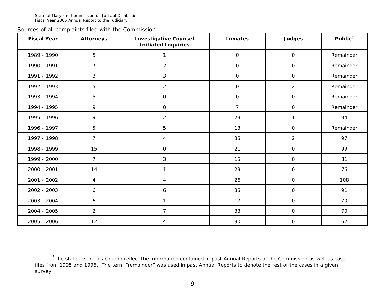Sources of all complaints filed with the Commission.

| <b>Fiscal Year</b> | <b>Attorneys</b> | <b>Investigative Counsel</b><br><b>Initiated Inquiries</b> | <b>Inmates</b> | <b>Judges</b>  | Public <sup>5</sup> |
|--------------------|------------------|------------------------------------------------------------|----------------|----------------|---------------------|
| 1989 - 1990        | 5                | $\mathbf{1}$                                               | $\mathsf O$    | $\mathsf O$    | Remainder           |
| 1990 - 1991        | $\overline{7}$   | $\overline{2}$                                             | $\mathbf 0$    | $\mathbf{O}$   | Remainder           |
| 1991 - 1992        | 3                | $\mathfrak{Z}$                                             | $\mathsf O$    | $\mathbf{O}$   | Remainder           |
| 1992 - 1993        | $\overline{5}$   | $\overline{2}$                                             | $\mathsf O$    | $\overline{2}$ | Remainder           |
| 1993 - 1994        | 5                | $\mathbf 0$                                                | $\mathsf O$    | $\mathbf{O}$   | Remainder           |
| 1994 - 1995        | 9                | $\mathsf{O}\xspace$                                        | $\overline{7}$ | $\mathbf 0$    | Remainder           |
| 1995 - 1996        | 9                | $\overline{2}$                                             | 23             | 1              | 94                  |
| 1996 - 1997        | 5                | 5                                                          | 13             | $\mathbf 0$    | Remainder           |
| 1997 - 1998        | $\overline{7}$   | $\overline{4}$                                             | 35             | $\overline{2}$ | 97                  |
| 1998 - 1999        | 15               | $\mathbf 0$                                                | 21             | $\mathsf O$    | 99                  |
| 1999 - 2000        | $\overline{7}$   | $\sqrt{3}$                                                 | 15             | $\mathbf{O}$   | 81                  |
| 2000 - 2001        | 14               | 1                                                          | 29             | $\mathbf{O}$   | 76                  |
| 2001 - 2002        | $\overline{4}$   | $\overline{4}$                                             | 26             | $\mathbf 0$    | 108                 |
| 2002 - 2003        | 6                | 6                                                          | 35             | $\mathbf{O}$   | 91                  |
| 2003 - 2004        | 6                | 1                                                          | 17             | $\mathsf{O}$   | 70                  |
| 2004 - 2005        | $\overline{2}$   | $\overline{7}$                                             | 33             | $\mathbf 0$    | 70                  |
| 2005 - 2006        | 12               | $\overline{4}$                                             | 30             | $\mathbf 0$    | 62                  |

 $5$ The statistics in this column reflect the information contained in past Annual Reports of the Commission as well as case files from 1995 and 1996. The term "remainder" was used in past Annual Reports to denote the rest of the cases in a given survey.